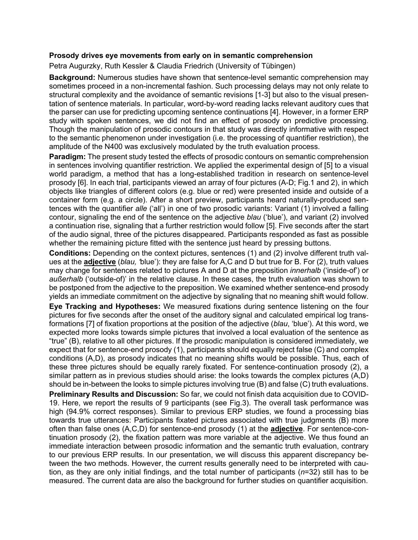## **Prosody drives eye movements from early on in semantic comprehension**

Petra Augurzky, Ruth Kessler & Claudia Friedrich (University of Tübingen)

**Background:** Numerous studies have shown that sentence-level semantic comprehension may sometimes proceed in a non-incremental fashion. Such processing delays may not only relate to structural complexity and the avoidance of semantic revisions [1-3] but also to the visual presentation of sentence materials. In particular, word-by-word reading lacks relevant auditory cues that the parser can use for predicting upcoming sentence continuations [4]. However, in a former ERP study with spoken sentences, we did not find an effect of prosody on predictive processing. Though the manipulation of prosodic contours in that study was directly informative with respect to the semantic phenomenon under investigation (i.e. the processing of quantifier restriction), the amplitude of the N400 was exclusively modulated by the truth evaluation process.

**Paradigm:** The present study tested the effects of prosodic contours on semantic comprehension in sentences involving quantifier restriction. We applied the experimental design of [5] to a visual world paradigm, a method that has a long-established tradition in research on sentence-level prosody [6]. In each trial, participants viewed an array of four pictures (A-D; Fig.1 and 2), in which objects like triangles of different colors (e.g. blue or red) were presented inside and outside of a container form (e.g. a circle). After a short preview, participants heard naturally-produced sentences with the quantifier *alle* ('all') in one of two prosodic variants: Variant (1) involved a falling contour, signaling the end of the sentence on the adjective *blau* ('blue'), and variant (2) involved a continuation rise, signaling that a further restriction would follow [5]. Five seconds after the start of the audio signal, three of the pictures disappeared. Participants responded as fast as possible whether the remaining picture fitted with the sentence just heard by pressing buttons.

**Conditions:** Depending on the context pictures, sentences (1) and (2) involve different truth values at the **adjective** (*blau, '*blue'): they are false for A,C and D but true for B. For (2), truth values may change for sentences related to pictures A and D at the preposition *innerhalb* ('inside-of') or *außerhalb* ('outside-of)' in the relative clause. In these cases, the truth evaluation was shown to be postponed from the adjective to the preposition. We examined whether sentence-end prosody yields an immediate commitment on the adjective by signaling that no meaning shift would follow.

**Eye Tracking and Hypotheses:** We measured fixations during sentence listening on the four pictures for five seconds after the onset of the auditory signal and calculated empirical log transformations [7] of fixation proportions at the position of the adjective (*blau*, 'blue'). At this word, we expected more looks towards simple pictures that involved a local evaluation of the sentence as "true" (B), relative to all other pictures. If the prosodic manipulation is considered immediately, we expect that for sentence-end prosody (1), participants should equally reject false (C) and complex conditions (A,D), as prosody indicates that no meaning shifts would be possible. Thus, each of these three pictures should be equally rarely fixated. For sentence-continuation prosody (2), a similar pattern as in previous studies should arise: the looks towards the complex pictures (A,D) should be in-between the looks to simple pictures involving true (B) and false (C) truth evaluations.

**Preliminary Results and Discussion:** So far, we could not finish data acquisition due to COVID-19. Here, we report the results of 9 participants (see Fig.3). The overall task performance was high (94.9% correct responses). Similar to previous ERP studies, we found a processing bias towards true utterances: Participants fixated pictures associated with true judgments (B) more often than false ones (A,C,D) for sentence-end prosody (1) at the **adjective**. For sentence-continuation prosody (2), the fixation pattern was more variable at the adjective. We thus found an immediate interaction between prosodic information and the semantic truth evaluation, contrary to our previous ERP results. In our presentation, we will discuss this apparent discrepancy between the two methods. However, the current results generally need to be interpreted with caution, as they are only initial findings, and the total number of participants (*n*=32) still has to be measured. The current data are also the background for further studies on quantifier acquisition.